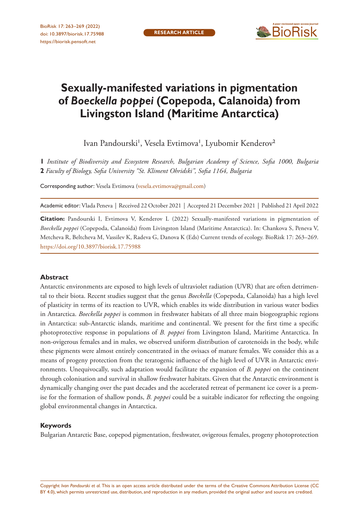

# **Sexually-manifested variations in pigmentation of** *Boeckella poppei* **(Copepoda, Calanoida) from Livingston Island (Maritime Antarctica)**

Ivan Pandourski', Vesela Evtimova', Lyubomir Kenderov<sup>2</sup>

**1** *Institute of Biodiversity and Ecosystem Research, Bulgarian Academy of Science, Sofia 1000, Bulgaria*  **2** *Faculty of Biology, Sofia University "St. Kliment Ohridski", Sofia 1164, Bulgaria*

Corresponding author: Vesela Evtimova ([vesela.evtimova@gmail.com\)](mailto:vesela.evtimova@gmail.com)

Academic editor: Vlada Peneva | Received 22 October 2021 | Accepted 21 December 2021 | Published 21 April 2022

**Citation:** Pandourski I, Evtimova V, Kenderov L (2022) Sexually-manifested variations in pigmentation of *Boeckella poppei* (Copepoda, Calanoida) from Livingston Island (Maritime Antarctica). In: Chankova S, Peneva V, Metcheva R, Beltcheva M, Vassilev K, Radeva G, Danova K (Eds) Current trends of ecology. BioRisk 17: 263–269. <https://doi.org/10.3897/biorisk.17.75988>

#### **Abstract**

Antarctic environments are exposed to high levels of ultraviolet radiation (UVR) that are often detrimental to their biota. Recent studies suggest that the genus *Boeckella* (Copepoda, Calanoida) has a high level of plasticity in terms of its reaction to UVR, which enables its wide distribution in various water bodies in Antarctica. *Boeckella poppei* is common in freshwater habitats of all three main biogeographic regions in Antarctica: sub-Antarctic islands, maritime and continental. We present for the first time a specific photoprotective response in populations of *B. poppei* from Livingston Island, Maritime Antarctica. In non-ovigerous females and in males, we observed uniform distribution of carotenoids in the body, while these pigments were almost entirely concentrated in the ovisacs of mature females. We consider this as a means of progeny protection from the teratogenic influence of the high level of UVR in Antarctic environments. Unequivocally, such adaptation would facilitate the expansion of *B. poppei* on the continent through colonisation and survival in shallow freshwater habitats. Given that the Antarctic environment is dynamically changing over the past decades and the accelerated retreat of permanent ice cover is a premise for the formation of shallow ponds, *B. poppei* could be a suitable indicator for reflecting the ongoing global environmental changes in Antarctica.

#### **Keywords**

Bulgarian Antarctic Base, copepod pigmentation, freshwater, ovigerous females, progeny photoprotection

Copyright *Ivan Pandourski et al.* This is an open access article distributed under the terms of the [Creative Commons Attribution License \(CC](http://creativecommons.org/licenses/by/4.0/)  [BY 4.0\)](http://creativecommons.org/licenses/by/4.0/), which permits unrestricted use, distribution, and reproduction in any medium, provided the original author and source are credited.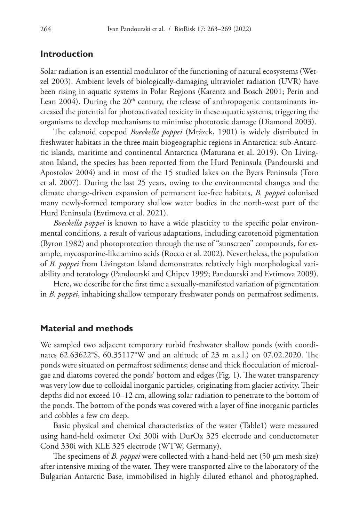## **Introduction**

Solar radiation is an essential modulator of the functioning of natural ecosystems (Wetzel 2003). Ambient levels of biologically-damaging ultraviolet radiation (UVR) have been rising in aquatic systems in Polar Regions (Karentz and Bosch 2001; Perin and Lean 2004). During the  $20<sup>th</sup>$  century, the release of anthropogenic contaminants increased the potential for photoactivated toxicity in these aquatic systems, triggering the organisms to develop mechanisms to minimise phototoxic damage (Diamond 2003).

The calanoid copepod *Boeckella poppei* (Mrázek, 1901) is widely distributed in freshwater habitats in the three main biogeographic regions in Antarctica: sub-Antarctic islands, maritime and continental Antarctica (Maturana et al. 2019). On Livingston Island, the species has been reported from the Hurd Peninsula (Pandourski and Apostolov 2004) and in most of the 15 studied lakes on the Byers Peninsula (Toro et al. 2007). During the last 25 years, owing to the environmental changes and the climate change-driven expansion of permanent ice-free habitats, *B. poppei* colonised many newly-formed temporary shallow water bodies in the north-west part of the Hurd Peninsula (Evtimova et al. 2021).

*Boeckella poppei* is known to have a wide plasticity to the specific polar environmental conditions, a result of various adaptations, including carotenoid pigmentation (Byron 1982) and photoprotection through the use of ''sunscreen'' compounds, for example, mycosporine-like amino acids (Rocco et al. 2002). Nevertheless, the population of *B. poppei* from Livingston Island demonstrates relatively high morphological variability and teratology (Pandourski and Chipev 1999; Pandourski and Evtimova 2009).

Here, we describe for the first time a sexually-manifested variation of pigmentation in *B. poppei*, inhabiting shallow temporary freshwater ponds on permafrost sediments.

#### **Material and methods**

We sampled two adjacent temporary turbid freshwater shallow ponds (with coordinates 62.63622°S, 60.35117°W and an altitude of 23 m a.s.l.) on 07.02.2020. The ponds were situated on permafrost sediments; dense and thick flocculation of microalgae and diatoms covered the ponds' bottom and edges (Fig. 1). The water transparency was very low due to colloidal inorganic particles, originating from glacier activity. Their depths did not exceed 10–12 cm, allowing solar radiation to penetrate to the bottom of the ponds. The bottom of the ponds was covered with a layer of fine inorganic particles and cobbles a few cm deep.

Basic physical and chemical characteristics of the water (Table1) were measured using hand-held oximeter Oxi 300i with DurOx 325 electrode and conductometer Cond 330i with KLE 325 electrode (WTW, Germany).

The specimens of *B. poppei* were collected with a hand-held net (50 μm mesh size) after intensive mixing of the water. They were transported alive to the laboratory of the Bulgarian Antarctic Base, immobilised in highly diluted ethanol and photographed.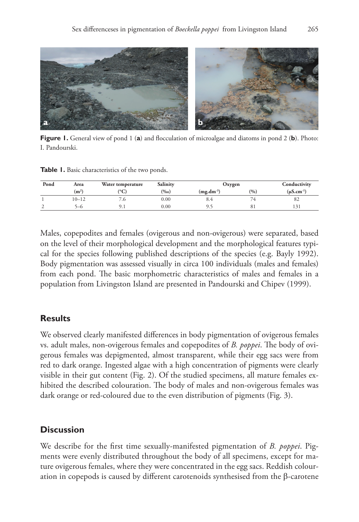

**Figure 1.** General view of pond 1 (**a**) and flocculation of microalgae and diatoms in pond 2 (**b**). Photo: I. Pandourski.

**Table 1.** Basic characteristics of the two ponds.

| Pond | Area              | Water temperature     | Salinity | Oxygen      |               | Conductivity       |
|------|-------------------|-----------------------|----------|-------------|---------------|--------------------|
|      | (m <sup>2</sup> ) | $({}^{\rm o}{\rm C})$ | $(\%0)$  | $(mg.dm-3)$ | (0/0)         | $(\mu S. cm^{-1})$ |
|      | $10 - 12$         | . 0                   | 0.00     | 0.4         | $\rightarrow$ | ٥Ž                 |
|      | )—0               | 7.1                   | 0.00     |             | -81           |                    |

Males, copepodites and females (ovigerous and non-ovigerous) were separated, based on the level of their morphological development and the morphological features typical for the species following published descriptions of the species (e.g. Bayly 1992). Body pigmentation was assessed visually in circa 100 individuals (males and females) from each pond. The basic morphometric characteristics of males and females in a population from Livingston Island are presented in Pandourski and Chipev (1999).

# **Results**

We observed clearly manifested differences in body pigmentation of ovigerous females vs. adult males, non-ovigerous females and copepodites of *B. poppei*. The body of ovigerous females was depigmented, almost transparent, while their egg sacs were from red to dark orange. Ingested algae with a high concentration of pigments were clearly visible in their gut content (Fig. 2). Of the studied specimens, all mature females exhibited the described colouration. The body of males and non-ovigerous females was dark orange or red-coloured due to the even distribution of pigments (Fig. 3).

# **Discussion**

We describe for the first time sexually-manifested pigmentation of *B. poppei*. Pigments were evenly distributed throughout the body of all specimens, except for mature ovigerous females, where they were concentrated in the egg sacs. Reddish colouration in copepods is caused by different carotenoids synthesised from the β-carotene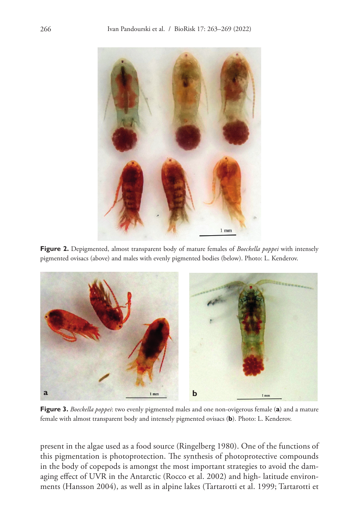

**Figure 2.** Depigmented, almost transparent body of mature females of *Boeckella poppei* with intensely pigmented ovisacs (above) and males with evenly pigmented bodies (below). Photo: L. Kenderov.



**Figure 3.** *Boeckella poppei*: two evenly pigmented males and one non-ovigerous female (**a**) and a mature female with almost transparent body and intensely pigmented ovisacs (**b**). Photo: L. Kenderov.

present in the algae used as a food source (Ringelberg 1980). One of the functions of this pigmentation is photoprotection. The synthesis of photoprotective compounds in the body of copepods is amongst the most important strategies to avoid the damaging effect of UVR in the Antarctic (Rocco et al. 2002) and high- latitude environments (Hansson 2004), as well as in alpine lakes (Tartarotti et al. 1999; Tartarotti et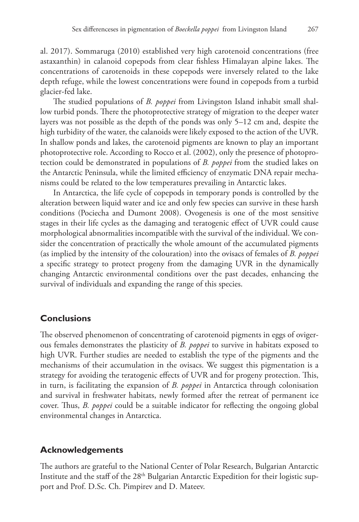al. 2017). Sommaruga (2010) established very high carotenoid concentrations (free astaxanthin) in calanoid copepods from clear fishless Himalayan alpine lakes. The concentrations of carotenoids in these copepods were inversely related to the lake depth refuge, while the lowest concentrations were found in copepods from a turbid glacier-fed lake.

The studied populations of *B. poppei* from Livingston Island inhabit small shallow turbid ponds. There the photoprotective strategy of migration to the deeper water layers was not possible as the depth of the ponds was only 5–12 cm and, despite the high turbidity of the water, the calanoids were likely exposed to the action of the UVR. In shallow ponds and lakes, the carotenoid pigments are known to play an important photoprotective role. According to Rocco et al. (2002), only the presence of photoprotection could be demonstrated in populations of *B. poppei* from the studied lakes on the Antarctic Peninsula, while the limited efficiency of enzymatic DNA repair mechanisms could be related to the low temperatures prevailing in Antarctic lakes.

In Antarctica, the life cycle of copepods in temporary ponds is controlled by the alteration between liquid water and ice and only few species can survive in these harsh conditions (Pociecha and Dumont 2008). Ovogenesis is one of the most sensitive stages in their life cycles as the damaging and teratogenic effect of UVR could cause morphological abnormalities incompatible with the survival of the individual. We consider the concentration of practically the whole amount of the accumulated pigments (as implied by the intensity of the colouration) into the ovisacs of females of *B. poppei* a specific strategy to protect progeny from the damaging UVR in the dynamically changing Antarctic environmental conditions over the past decades, enhancing the survival of individuals and expanding the range of this species.

## **Conclusions**

The observed phenomenon of concentrating of carotenoid pigments in eggs of ovigerous females demonstrates the plasticity of *B. poppei* to survive in habitats exposed to high UVR. Further studies are needed to establish the type of the pigments and the mechanisms of their accumulation in the ovisacs. We suggest this pigmentation is a strategy for avoiding the teratogenic effects of UVR and for progeny protection. This, in turn, is facilitating the expansion of *B. poppei* in Antarctica through colonisation and survival in freshwater habitats, newly formed after the retreat of permanent ice cover. Thus, *B. poppei* could be a suitable indicator for reflecting the ongoing global environmental changes in Antarctica.

## **Acknowledgements**

The authors are grateful to the National Center of Polar Research, Bulgarian Antarctic Institute and the staff of the 28<sup>th</sup> Bulgarian Antarctic Expedition for their logistic support and Prof. D.Sc. Ch. Pimpirev and D. Mateev.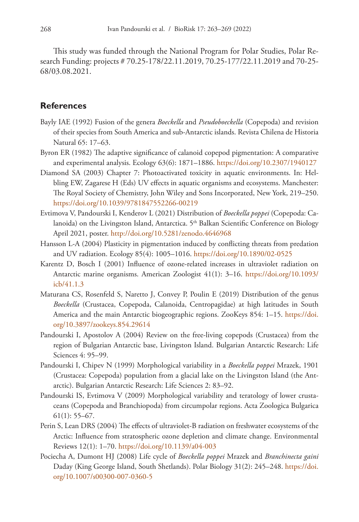This study was funded through the National Program for Polar Studies, Polar Research Funding: projects # 70.25-178/22.11.2019, 70.25-177/22.11.2019 and 70-25- 68/03.08.2021.

# **References**

- Bayly IAE (1992) Fusion of the genera *Boeckella* and *Pseudoboeckella* (Copepoda) and revision of their species from South America and sub-Antarctic islands. Revista Chilena de Historia Natural 65: 17–63.
- Byron ER (1982) The adaptive significance of calanoid copepod pigmentation: A comparative and experimental analysis. Ecology 63(6): 1871–1886. <https://doi.org/10.2307/1940127>
- Diamond SA (2003) Chapter 7: Photoactivated toxicity in aquatic environments. In: Helbling EW, Zagarese H (Eds) UV effects in aquatic organisms and ecosystems. Manchester: The Royal Society of Chemistry, John Wiley and Sons Incorporated, New York, 219–250. <https://doi.org/10.1039/9781847552266-00219>
- Evtimova V, Pandourski I, Kenderov L (2021) Distribution of *Boeckella poppei* (Copepoda: Calanoida) on the Livingston Island, Antarctica. 5<sup>th</sup> Balkan Scientific Conference on Biology April 2021, poster.<http://doi.org/10.5281/zenodo.4646968>
- Hansson L-A (2004) Plasticity in pigmentation induced by conflicting threats from predation and UV radiation. Ecology 85(4): 1005–1016. <https://doi.org/10.1890/02-0525>
- Karentz D, Bosch I (2001) Influence of ozone-related increases in ultraviolet radiation on Antarctic marine organisms. American Zoologist 41(1): 3–16. [https://doi.org/10.1093/](https://doi.org/10.1093/icb/41.1.3) [icb/41.1.3](https://doi.org/10.1093/icb/41.1.3)
- Maturana CS, Rosenfeld S, Naretto J, Convey P, Poulin E (2019) Distribution of the genus *Boeckella* (Crustacea, Copepoda, Calanoida, Centropagidae) at high latitudes in South America and the main Antarctic biogeographic regions. ZooKeys 854: 1–15. [https://doi.](https://doi.org/10.3897/zookeys.854.29614) [org/10.3897/zookeys.854.29614](https://doi.org/10.3897/zookeys.854.29614)
- Pandourski I, Apostolov A (2004) Review on the free-living copepods (Crustacea) from the region of Bulgarian Antarctic base, Livingston Island. Bulgarian Antarctic Research: Life Sciences 4: 95–99.
- Pandourski I, Chipev N (1999) Morphological variability in a *Boeckella poppei* Mrazek, 1901 (Crustacea: Copepoda) population from a glacial lake on the Livingston Island (the Antarctic). Bulgarian Antarctic Research: Life Sciences 2: 83–92.
- Pandourski IS, Evtimova V (2009) Morphological variability and teratology of lower crustaceans (Copepoda and Branchiopoda) from circumpolar regions. Acta Zoologica Bulgarica 61(1): 55–67.
- Perin S, Lean DRS (2004) The effects of ultraviolet-B radiation on freshwater ecosystems of the Arctic: Influence from stratospheric ozone depletion and climate change. Environmental Reviews 12(1): 1–70.<https://doi.org/10.1139/a04-003>
- Pociecha A, Dumont HJ (2008) Life cycle of *Boeckella poppei* Mrazek and *Branchinecta gaini* Daday (King George Island, South Shetlands). Polar Biology 31(2): 245–248. [https://doi.](https://doi.org/10.1007/s00300-007-0360-5) [org/10.1007/s00300-007-0360-5](https://doi.org/10.1007/s00300-007-0360-5)